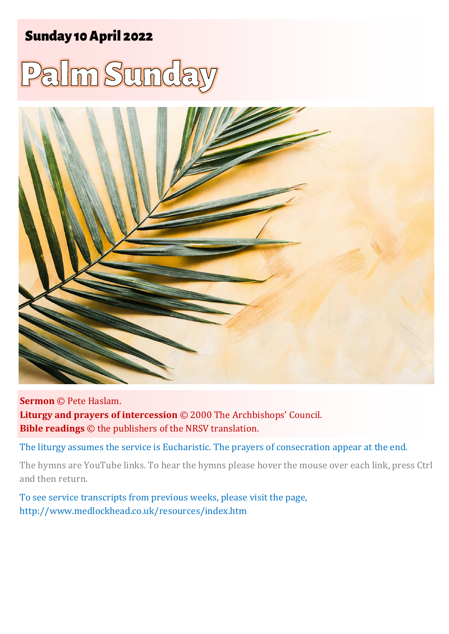# Sunday 10 April 2022





**Sermon** © Pete Haslam.

**Liturgy and prayers of intercession** © 2000 The Archbishops' Council. **Bible readings** © the publishers of the NRSV translation.

The liturgy assumes the service is Eucharistic. The prayers of consecration appear at the end.

The hymns are YouTube links. To hear the hymns please hover the mouse over each link, press Ctrl and then return.

To see service transcripts from previous weeks, please visit the page, <http://www.medlockhead.co.uk/resources/index.htm>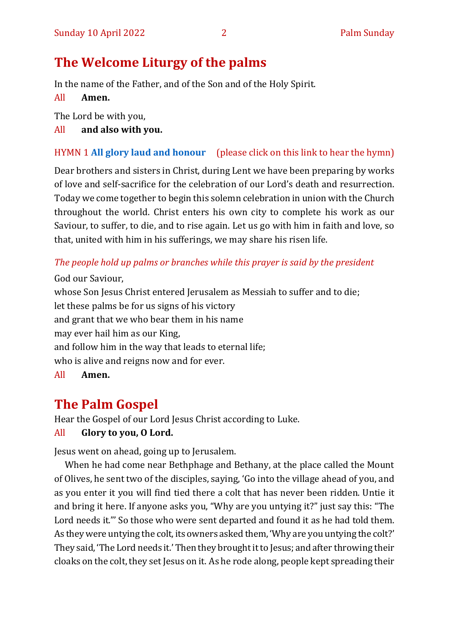# **The Welcome Liturgy of the palms**

In the name of the Father, and of the Son and of the Holy Spirit.

All **Amen.**

The Lord be with you,

#### All **and also with you.**

#### HYMN 1 **[All glory laud and honour](https://www.youtube.com/watch?v=eBfJyjDolwA)** (please click on this link to hear the hymn)

Dear brothers and sisters in Christ, during Lent we have been preparing by works of love and self-sacrifice for the celebration of our Lord's death and resurrection. Today we come together to begin this solemn celebration in union with the Church throughout the world. Christ enters his own city to complete his work as our Saviour, to suffer, to die, and to rise again. Let us go with him in faith and love, so that, united with him in his sufferings, we may share his risen life.

#### *The people hold up palms or branches while this prayer is said by the president*

God our Saviour, whose Son Jesus Christ entered Jerusalem as Messiah to suffer and to die; let these palms be for us signs of his victory and grant that we who bear them in his name may ever hail him as our King, and follow him in the way that leads to eternal life; who is alive and reigns now and for ever. All **Amen.**

# **The Palm Gospel**

Hear the Gospel of our Lord Jesus Christ according to Luke.

#### All **Glory to you, O Lord.**

Jesus went on ahead, going up to Jerusalem.

When he had come near Bethphage and Bethany, at the place called the Mount of Olives, he sent two of the disciples, saying, 'Go into the village ahead of you, and as you enter it you will find tied there a colt that has never been ridden. Untie it and bring it here. If anyone asks you, "Why are you untying it?" just say this: "The Lord needs it."' So those who were sent departed and found it as he had told them. As they were untying the colt, its owners asked them, 'Why are you untying the colt?' They said, 'The Lord needs it.' Then they brought it to Jesus; and after throwing their cloaks on the colt, they set Jesus on it. As he rode along, people kept spreading their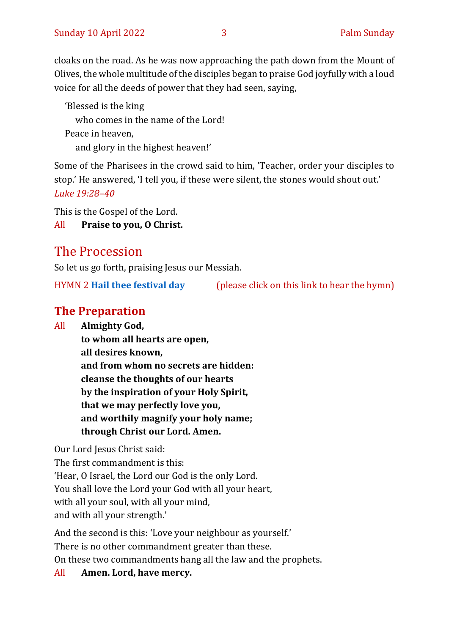cloaks on the road. As he was now approaching the path down from the Mount of Olives, the whole multitude of the disciples began to praise God joyfully with a loud voice for all the deeds of power that they had seen, saying,

'Blessed is the king who comes in the name of the Lord! Peace in heaven, and glory in the highest heaven!'

Some of the Pharisees in the crowd said to him, 'Teacher, order your disciples to stop.' He answered, 'I tell you, if these were silent, the stones would shout out.' *Luke 19:28–40*

This is the Gospel of the Lord. All **Praise to you, O Christ.**

# The Procession

So let us go forth, praising Jesus our Messiah.

HYMN 2 **[Hail thee festival day](https://www.youtube.com/watch?v=uzk-2RManE8)** (please click on this link to hear the hymn)

# **The Preparation**

All **Almighty God,**

**to whom all hearts are open, all desires known, and from whom no secrets are hidden: cleanse the thoughts of our hearts by the inspiration of your Holy Spirit, that we may perfectly love you, and worthily magnify your holy name; through Christ our Lord. Amen.**

Our Lord Jesus Christ said: The first commandment is this: 'Hear, O Israel, the Lord our God is the only Lord. You shall love the Lord your God with all your heart, with all your soul, with all your mind, and with all your strength.'

And the second is this: 'Love your neighbour as yourself.'

There is no other commandment greater than these.

On these two commandments hang all the law and the prophets.

#### All **Amen. Lord, have mercy.**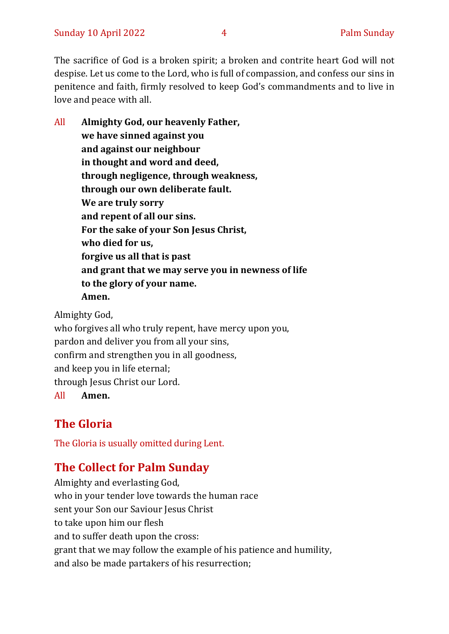The sacrifice of God is a broken spirit; a broken and contrite heart God will not despise. Let us come to the Lord, who is full of compassion, and confess our sins in penitence and faith, firmly resolved to keep God's commandments and to live in love and peace with all.

All **Almighty God, our heavenly Father, we have sinned against you and against our neighbour in thought and word and deed, through negligence, through weakness, through our own deliberate fault. We are truly sorry and repent of all our sins. For the sake of your Son Jesus Christ, who died for us, forgive us all that is past and grant that we may serve you in newness of life to the glory of your name. Amen.**

Almighty God,

who forgives all who truly repent, have mercy upon you, pardon and deliver you from all your sins, confirm and strengthen you in all goodness, and keep you in life eternal; through Jesus Christ our Lord.

All **Amen.**

# **The Gloria**

The Gloria is usually omitted during Lent.

# **The Collect for Palm Sunday**

Almighty and everlasting God, who in your tender love towards the human race sent your Son our Saviour Jesus Christ to take upon him our flesh and to suffer death upon the cross: grant that we may follow the example of his patience and humility, and also be made partakers of his resurrection;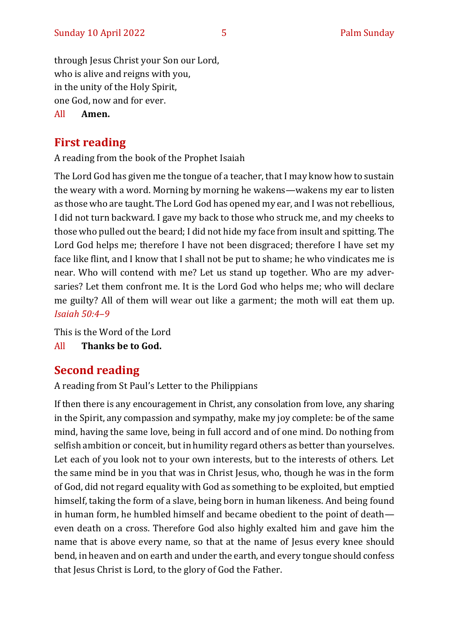through Jesus Christ your Son our Lord, who is alive and reigns with you, in the unity of the Holy Spirit, one God, now and for ever.

# All **Amen.**

### **First reading**

A reading from the book of the Prophet Isaiah

The Lord God has given me the tongue of a teacher, that I may know how to sustain the weary with a word. Morning by morning he wakens—wakens my ear to listen as those who are taught. The Lord God has opened my ear, and I was not rebellious, I did not turn backward. I gave my back to those who struck me, and my cheeks to those who pulled out the beard; I did not hide my face from insult and spitting. The Lord God helps me; therefore I have not been disgraced; therefore I have set my face like flint, and I know that I shall not be put to shame; he who vindicates me is near. Who will contend with me? Let us stand up together. Who are my adversaries? Let them confront me. It is the Lord God who helps me; who will declare me guilty? All of them will wear out like a garment; the moth will eat them up. *Isaiah 50:4–9*

This is the Word of the Lord

All **Thanks be to God.**

# **Second reading**

A reading from St Paul's Letter to the Philippians

If then there is any encouragement in Christ, any consolation from love, any sharing in the Spirit, any compassion and sympathy, make my joy complete: be of the same mind, having the same love, being in full accord and of one mind. Do nothing from selfish ambition or conceit, but in humility regard others as better than yourselves. Let each of you look not to your own interests, but to the interests of others. Let the same mind be in you that was in Christ Jesus, who, though he was in the form of God, did not regard equality with God as something to be exploited, but emptied himself, taking the form of a slave, being born in human likeness. And being found in human form, he humbled himself and became obedient to the point of death even death on a cross. Therefore God also highly exalted him and gave him the name that is above every name, so that at the name of Jesus every knee should bend, in heaven and on earth and under the earth, and every tongue should confess that Jesus Christ is Lord, to the glory of God the Father.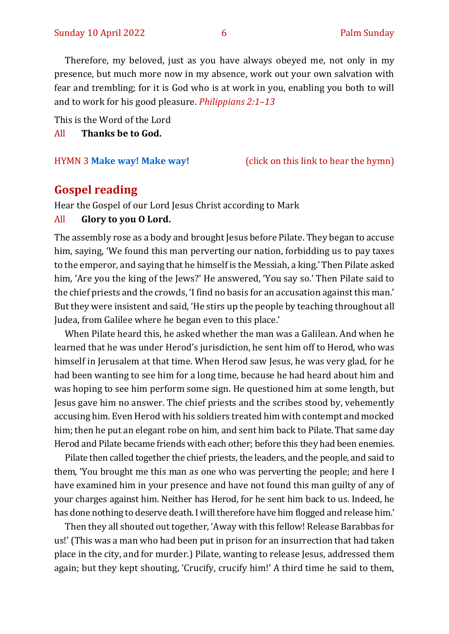Therefore, my beloved, just as you have always obeyed me, not only in my presence, but much more now in my absence, work out your own salvation with fear and trembling; for it is God who is at work in you, enabling you both to will and to work for his good pleasure. *Philippians 2:1–13*

This is the Word of the Lord

All **Thanks be to God.**

#### HYMN 3 **[Make way! Make way!](https://www.youtube.com/watch?v=1MvXRSmKhXk)** (click on this link to hear the hymn)

#### **Gospel reading**

Hear the Gospel of our Lord Jesus Christ according to Mark

#### All **Glory to you O Lord.**

The assembly rose as a body and brought Jesus before Pilate. They began to accuse him, saying, 'We found this man perverting our nation, forbidding us to pay taxes to the emperor, and saying that he himself is the Messiah, a king.'Then Pilate asked him, 'Are you the king of the Jews?' He answered, 'You say so.' Then Pilate said to the chief priests and the crowds, 'I find no basis for an accusation against this man.' But they were insistent and said, 'He stirs up the people by teaching throughout all Judea, from Galilee where he began even to this place.'

When Pilate heard this, he asked whether the man was a Galilean. And when he learned that he was under Herod's jurisdiction, he sent him off to Herod, who was himself in Jerusalem at that time. When Herod saw Jesus, he was very glad, for he had been wanting to see him for a long time, because he had heard about him and was hoping to see him perform some sign. He questioned him at some length, but Jesus gave him no answer. The chief priests and the scribes stood by, vehemently accusing him. Even Herod with his soldiers treated him with contempt and mocked him; then he put an elegant robe on him, and sent him back to Pilate.That same day Herod and Pilate became friends with each other; before this they had been enemies.

Pilate then called together the chief priests, the leaders, and the people, and said to them, 'You brought me this man as one who was perverting the people; and here I have examined him in your presence and have not found this man guilty of any of your charges against him. Neither has Herod, for he sent him back to us. Indeed, he has done nothing to deserve death. I will therefore have him flogged and release him.'

Then they all shouted out together, 'Away with this fellow! Release Barabbas for us!' (This was a man who had been put in prison for an insurrection that had taken place in the city, and for murder.) Pilate, wanting to release Jesus, addressed them again; but they kept shouting, 'Crucify, crucify him!' A third time he said to them,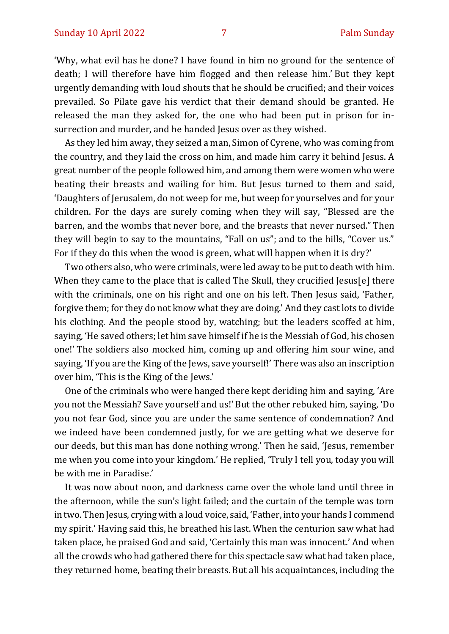'Why, what evil has he done? I have found in him no ground for the sentence of death; I will therefore have him flogged and then release him.' But they kept urgently demanding with loud shouts that he should be crucified; and their voices prevailed. So Pilate gave his verdict that their demand should be granted. He released the man they asked for, the one who had been put in prison for insurrection and murder, and he handed Jesus over as they wished.

As they led him away, they seized a man, Simon of Cyrene, who was coming from the country, and they laid the cross on him, and made him carry it behind Jesus. A great number of the people followed him, and among them were women who were beating their breasts and wailing for him. But Jesus turned to them and said, 'Daughters of Jerusalem, do not weep for me, but weep for yourselves and for your children. For the days are surely coming when they will say, "Blessed are the barren, and the wombs that never bore, and the breasts that never nursed." Then they will begin to say to the mountains, "Fall on us"; and to the hills, "Cover us." For if they do this when the wood is green, what will happen when it is dry?'

Two others also, who were criminals, were led away to be put to death with him. When they came to the place that is called The Skull, they crucified Jesus[\[e\]](https://www.biblegateway.com/passage/?search=luke+23&version=NRSVA#fen-NRSVA-25959e) there with the criminals, one on his right and one on his left. Then Jesus said, 'Father, forgive them; for they do not know what they are doing.' And they cast lots to divide his clothing. And the people stood by, watching; but the leaders scoffed at him, saying, 'He saved others; let him save himself if he is the Messiah of God, his chosen one!' The soldiers also mocked him, coming up and offering him sour wine, and saying, 'If you are the King of the Jews, save yourself!' There was also an inscription over him, 'This is the King of the Jews.'

One of the criminals who were hanged there kept deriding him and saying, 'Are you not the Messiah? Save yourself and us!' But the other rebuked him, saying, 'Do you not fear God, since you are under the same sentence of condemnation? And we indeed have been condemned justly, for we are getting what we deserve for our deeds, but this man has done nothing wrong.' Then he said, 'Jesus, remember me when you come into your kingdom.' He replied, 'Truly I tell you, today you will be with me in Paradise.'

It was now about noon, and darkness came over the whole land until three in the afternoon, while the sun's light failed; and the curtain of the temple was torn in two. Then Jesus, crying with a loud voice, said, 'Father, into your hands I commend my spirit.' Having said this, he breathed his last. When the centurion saw what had taken place, he praised God and said, 'Certainly this man was innocent.' And when all the crowds who had gathered there for this spectacle saw what had taken place, they returned home, beating their breasts. But all his acquaintances, including the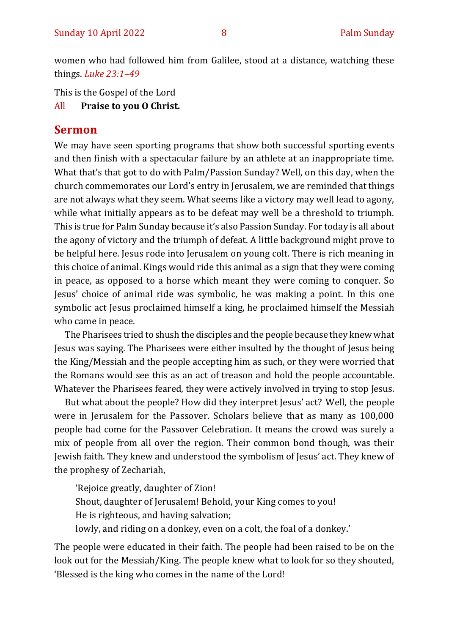women who had followed him from Galilee, stood at a distance, watching these things. *Luke 23:1–49*

This is the Gospel of the Lord

All **Praise to you O Christ.** 

#### **Sermon**

We may have seen sporting programs that show both successful sporting events and then finish with a spectacular failure by an athlete at an inappropriate time. What that's that got to do with Palm/Passion Sunday? Well, on this day, when the church commemorates our Lord's entry in Jerusalem, we are reminded that things are not always what they seem. What seems like a victory may well lead to agony, while what initially appears as to be defeat may well be a threshold to triumph. This is true for Palm Sunday because it's also Passion Sunday. For today is all about the agony of victory and the triumph of defeat. A little background might prove to be helpful here. Jesus rode into Jerusalem on young colt. There is rich meaning in this choice of animal. Kings would ride this animal as a sign that they were coming in peace, as opposed to a horse which meant they were coming to conquer. So Jesus' choice of animal ride was symbolic, he was making a point. In this one symbolic act Jesus proclaimed himself a king, he proclaimed himself the Messiah who came in peace.

The Pharisees tried to shush the disciples and the people because they knew what Jesus was saying. The Pharisees were either insulted by the thought of Jesus being the King/Messiah and the people accepting him as such, or they were worried that the Romans would see this as an act of treason and hold the people accountable. Whatever the Pharisees feared, they were actively involved in trying to stop Jesus.

But what about the people? How did they interpret Jesus' act? Well, the people were in Jerusalem for the Passover. Scholars believe that as many as 100,000 people had come for the Passover Celebration. It means the crowd was surely a mix of people from all over the region. Their common bond though, was their Jewish faith. They knew and understood the symbolism of Jesus' act. They knew of the prophesy of Zechariah,

'Rejoice greatly, daughter of Zion! Shout, daughter of Jerusalem! Behold, your King comes to you! He is righteous, and having salvation; lowly, and riding on a donkey, even on a colt, the foal of a donkey.'

The people were educated in their faith. The people had been raised to be on the look out for the Messiah/King. The people knew what to look for so they shouted, 'Blessed is the king who comes in the name of the Lord!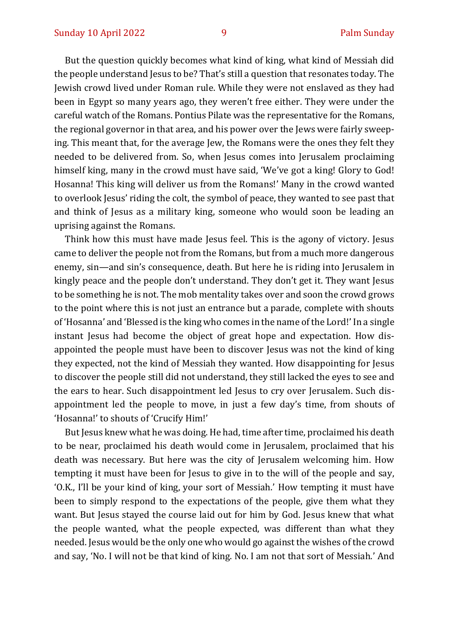But the question quickly becomes what kind of king, what kind of Messiah did the people understand Jesus to be? That's still a question that resonates today. The Jewish crowd lived under Roman rule. While they were not enslaved as they had been in Egypt so many years ago, they weren't free either. They were under the careful watch of the Romans. Pontius Pilate was the representative for the Romans, the regional governor in that area, and his power over the Jews were fairly sweeping. This meant that, for the average Jew, the Romans were the ones they felt they needed to be delivered from. So, when Jesus comes into Jerusalem proclaiming himself king, many in the crowd must have said, 'We've got a king! Glory to God! Hosanna! This king will deliver us from the Romans!' Many in the crowd wanted to overlook Jesus' riding the colt, the symbol of peace, they wanted to see past that and think of Jesus as a military king, someone who would soon be leading an uprising against the Romans.

Think how this must have made Jesus feel. This is the agony of victory. Jesus came to deliver the people not from the Romans, but from a much more dangerous enemy, sin—and sin's consequence, death. But here he is riding into Jerusalem in kingly peace and the people don't understand. They don't get it. They want Jesus to be something he is not. The mob mentality takes over and soon the crowd grows to the point where this is not just an entrance but a parade, complete with shouts of 'Hosanna' and 'Blessed is the king who comes in the name of the Lord!' In a single instant Jesus had become the object of great hope and expectation. How disappointed the people must have been to discover Jesus was not the kind of king they expected, not the kind of Messiah they wanted. How disappointing for Jesus to discover the people still did not understand, they still lacked the eyes to see and the ears to hear. Such disappointment led Jesus to cry over Jerusalem. Such disappointment led the people to move, in just a few day's time, from shouts of 'Hosanna!' to shouts of 'Crucify Him!'

But Jesus knew what he was doing. He had, time after time, proclaimed his death to be near, proclaimed his death would come in Jerusalem, proclaimed that his death was necessary. But here was the city of Jerusalem welcoming him. How tempting it must have been for Jesus to give in to the will of the people and say, 'O.K., I'll be your kind of king, your sort of Messiah.' How tempting it must have been to simply respond to the expectations of the people, give them what they want. But Jesus stayed the course laid out for him by God. Jesus knew that what the people wanted, what the people expected, was different than what they needed. Jesus would be the only one who would go against the wishes of the crowd and say, 'No. I will not be that kind of king. No. I am not that sort of Messiah.' And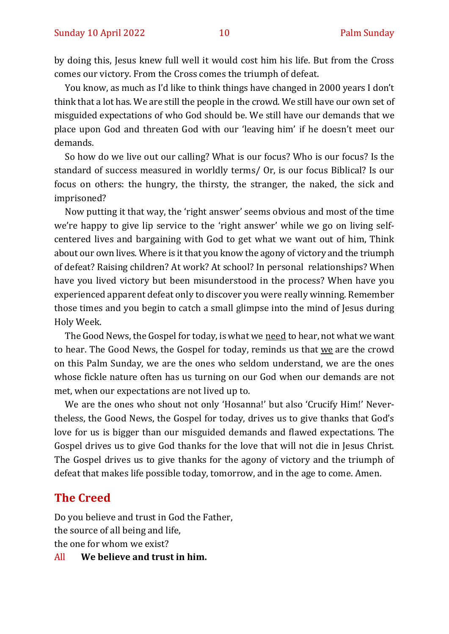by doing this, Jesus knew full well it would cost him his life. But from the Cross comes our victory. From the Cross comes the triumph of defeat.

You know, as much as I'd like to think things have changed in 2000 years I don't think that a lot has. We are still the people in the crowd. We still have our own set of misguided expectations of who God should be. We still have our demands that we place upon God and threaten God with our 'leaving him' if he doesn't meet our demands.

So how do we live out our calling? What is our focus? Who is our focus? Is the standard of success measured in worldly terms/ Or, is our focus Biblical? Is our focus on others: the hungry, the thirsty, the stranger, the naked, the sick and imprisoned?

Now putting it that way, the 'right answer' seems obvious and most of the time we're happy to give lip service to the 'right answer' while we go on living selfcentered lives and bargaining with God to get what we want out of him, Think about our own lives. Where is it that you know the agony of victory and the triumph of defeat? Raising children? At work? At school? In personal relationships? When have you lived victory but been misunderstood in the process? When have you experienced apparent defeat only to discover you were really winning. Remember those times and you begin to catch a small glimpse into the mind of Jesus during Holy Week.

The Good News, the Gospel for today, is what we need to hear, not what we want to hear. The Good News, the Gospel for today, reminds us that we are the crowd on this Palm Sunday, we are the ones who seldom understand, we are the ones whose fickle nature often has us turning on our God when our demands are not met, when our expectations are not lived up to.

We are the ones who shout not only 'Hosanna!' but also 'Crucify Him!' Nevertheless, the Good News, the Gospel for today, drives us to give thanks that God's love for us is bigger than our misguided demands and flawed expectations. The Gospel drives us to give God thanks for the love that will not die in Jesus Christ. The Gospel drives us to give thanks for the agony of victory and the triumph of defeat that makes life possible today, tomorrow, and in the age to come. Amen.

#### **The Creed**

Do you believe and trust in God the Father, the source of all being and life, the one for whom we exist?

All **We believe and trust in him.**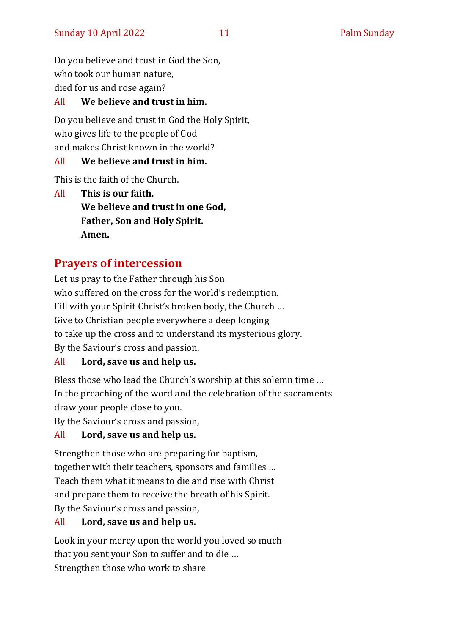Do you believe and trust in God the Son, who took our human nature, died for us and rose again?

#### All **We believe and trust in him.**

Do you believe and trust in God the Holy Spirit, who gives life to the people of God and makes Christ known in the world?

#### All **We believe and trust in him.**

This is the faith of the Church.

All **This is our faith. We believe and trust in one God, Father, Son and Holy Spirit. Amen.**

# **Prayers of intercession**

Let us pray to the Father through his Son who suffered on the cross for the world's redemption. Fill with your Spirit Christ's broken body, the Church … Give to Christian people everywhere a deep longing to take up the cross and to understand its mysterious glory. By the Saviour's cross and passion,

#### All **Lord, save us and help us.**

Bless those who lead the Church's worship at this solemn time … In the preaching of the word and the celebration of the sacraments draw your people close to you.

By the Saviour's cross and passion,

#### All **Lord, save us and help us.**

Strengthen those who are preparing for baptism, together with their teachers, sponsors and families … Teach them what it means to die and rise with Christ and prepare them to receive the breath of his Spirit. By the Saviour's cross and passion,

#### All **Lord, save us and help us.**

Look in your mercy upon the world you loved so much that you sent your Son to suffer and to die … Strengthen those who work to share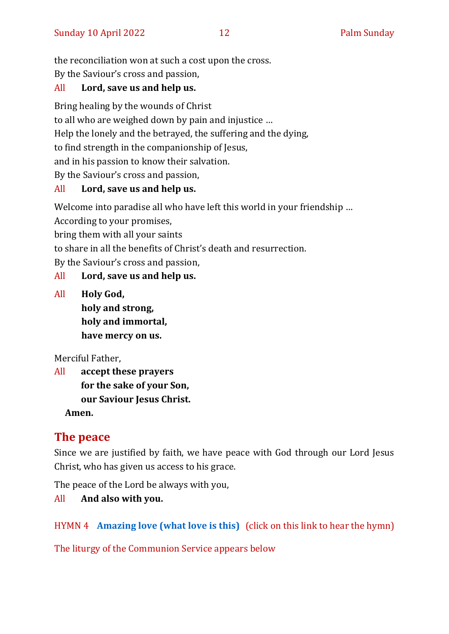the reconciliation won at such a cost upon the cross.

By the Saviour's cross and passion,

#### All **Lord, save us and help us.**

Bring healing by the wounds of Christ to all who are weighed down by pain and injustice … Help the lonely and the betrayed, the suffering and the dying, to find strength in the companionship of Jesus, and in his passion to know their salvation. By the Saviour's cross and passion,

#### All **Lord, save us and help us.**

Welcome into paradise all who have left this world in your friendship …

According to your promises,

bring them with all your saints

to share in all the benefits of Christ's death and resurrection.

By the Saviour's cross and passion,

#### All **Lord, save us and help us.**

All **Holy God, holy and strong, holy and immortal, have mercy on us.**

Merciful Father,

All **accept these prayers for the sake of your Son, our Saviour Jesus Christ. Amen.**

## **The peace**

Since we are justified by faith, we have peace with God through our Lord Jesus Christ, who has given us access to his grace.

The peace of the Lord be always with you,

#### All **And also with you.**

HYMN 4 **[Amazing love \(what love is this\)](https://www.youtube.com/watch?v=ItR0E1lg7lY)** (click on this link to hear the hymn)

The liturgy of the Communion Service appears below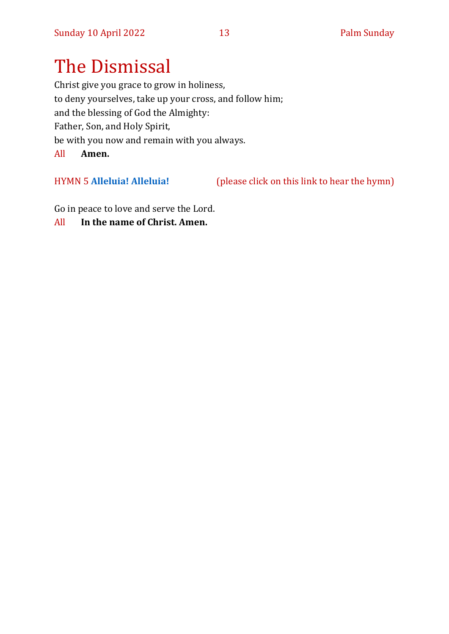# The Dismissal

Christ give you grace to grow in holiness, to deny yourselves, take up your cross, and follow him; and the blessing of God the Almighty: Father, Son, and Holy Spirit, be with you now and remain with you always. All **Amen.**

HYMN 5 **[Alleluia! Alleluia!](https://www.youtube.com/watch?v=LMyuzXPz2_k)** (please click on this link to hear the hymn)

Go in peace to love and serve the Lord.

All **In the name of Christ. Amen.**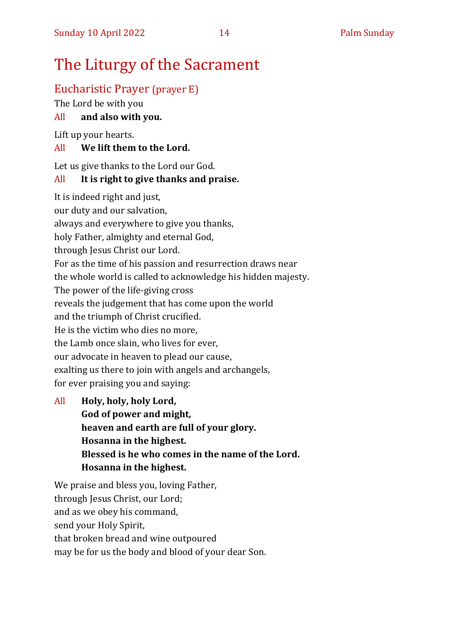# The Liturgy of the Sacrament

## Eucharistic Prayer (prayer E)

The Lord be with you

#### All **and also with you.**

Lift up your hearts.

#### All **We lift them to the Lord.**

Let us give thanks to the Lord our God.

#### All **It is right to give thanks and praise.**

It is indeed right and just, our duty and our salvation, always and everywhere to give you thanks, holy Father, almighty and eternal God, through Jesus Christ our Lord. For as the time of his passion and resurrection draws near the whole world is called to acknowledge his hidden majesty. The power of the life-giving cross reveals the judgement that has come upon the world and the triumph of Christ crucified. He is the victim who dies no more, the Lamb once slain, who lives for ever, our advocate in heaven to plead our cause, exalting us there to join with angels and archangels, for ever praising you and saying:

All **Holy, holy, holy Lord, God of power and might, heaven and earth are full of your glory. Hosanna in the highest. Blessed is he who comes in the name of the Lord. Hosanna in the highest.**

We praise and bless you, loving Father, through Jesus Christ, our Lord; and as we obey his command, send your Holy Spirit, that broken bread and wine outpoured may be for us the body and blood of your dear Son.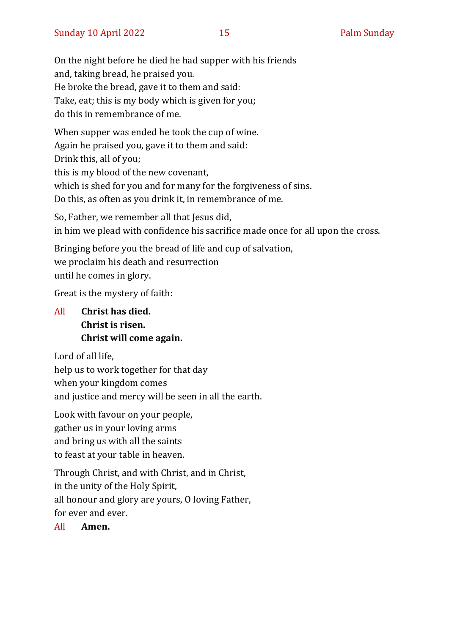On the night before he died he had supper with his friends and, taking bread, he praised you. He broke the bread, gave it to them and said: Take, eat; this is my body which is given for you; do this in remembrance of me.

When supper was ended he took the cup of wine. Again he praised you, gave it to them and said: Drink this, all of you; this is my blood of the new covenant, which is shed for you and for many for the forgiveness of sins. Do this, as often as you drink it, in remembrance of me.

So, Father, we remember all that Jesus did, in him we plead with confidence his sacrifice made once for all upon the cross.

Bringing before you the bread of life and cup of salvation, we proclaim his death and resurrection until he comes in glory.

Great is the mystery of faith:

All **Christ has died. Christ is risen. Christ will come again.**

Lord of all life, help us to work together for that day when your kingdom comes and justice and mercy will be seen in all the earth.

Look with favour on your people, gather us in your loving arms and bring us with all the saints to feast at your table in heaven.

Through Christ, and with Christ, and in Christ, in the unity of the Holy Spirit, all honour and glory are yours, O loving Father, for ever and ever.

All **Amen.**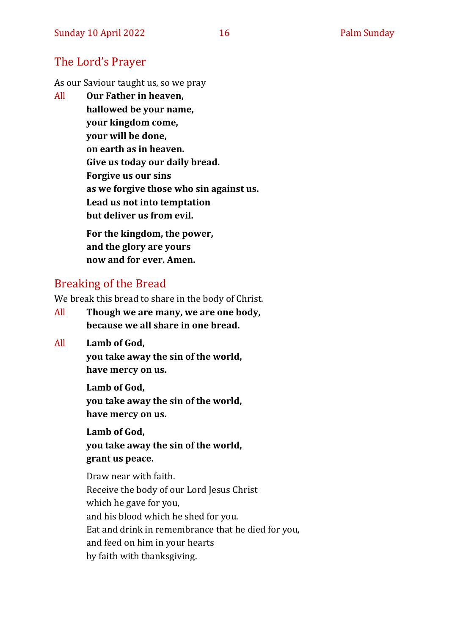### The Lord's Prayer

As our Saviour taught us, so we pray

All **Our Father in heaven, hallowed be your name, your kingdom come, your will be done, on earth as in heaven. Give us today our daily bread. Forgive us our sins as we forgive those who sin against us. Lead us not into temptation but deliver us from evil. For the kingdom, the power,** 

**and the glory are yours now and for ever. Amen.**

## Breaking of the Bread

We break this bread to share in the body of Christ.

- All **Though we are many, we are one body, because we all share in one bread.**
- All **Lamb of God,**

**you take away the sin of the world, have mercy on us.**

**Lamb of God, you take away the sin of the world, have mercy on us.**

**Lamb of God, you take away the sin of the world, grant us peace.**

Draw near with faith. Receive the body of our Lord Jesus Christ which he gave for you, and his blood which he shed for you. Eat and drink in remembrance that he died for you, and feed on him in your hearts by faith with thanksgiving.